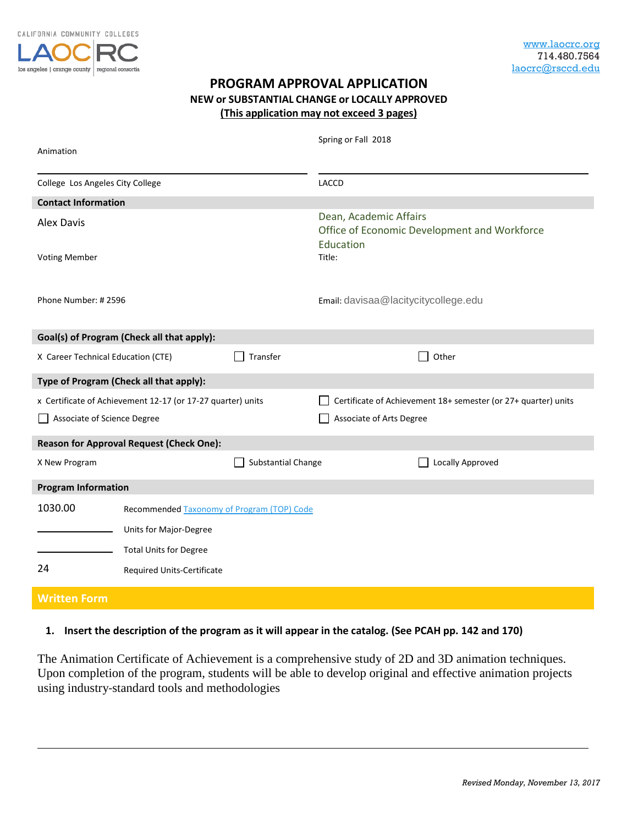

## **PROGRAM APPROVAL APPLICATION NEW or SUBSTANTIAL CHANGE or LOCALLY APPROVED (This application may not exceed 3 pages)**

| Animation                                             |                                                             |                                                                        | Spring or Fall 2018                                            |                         |  |
|-------------------------------------------------------|-------------------------------------------------------------|------------------------------------------------------------------------|----------------------------------------------------------------|-------------------------|--|
| College Los Angeles City College                      |                                                             |                                                                        | <b>LACCD</b>                                                   |                         |  |
| <b>Contact Information</b>                            |                                                             |                                                                        |                                                                |                         |  |
| <b>Alex Davis</b>                                     |                                                             | Dean, Academic Affairs<br>Office of Economic Development and Workforce |                                                                |                         |  |
| <b>Voting Member</b>                                  |                                                             |                                                                        | Education<br>Title:                                            |                         |  |
| Phone Number: #2596                                   |                                                             |                                                                        | Email: davisaa@lacitycitycollege.edu                           |                         |  |
| Goal(s) of Program (Check all that apply):            |                                                             |                                                                        |                                                                |                         |  |
| X Career Technical Education (CTE)                    |                                                             | Transfer                                                               |                                                                | Other                   |  |
| Type of Program (Check all that apply):               |                                                             |                                                                        |                                                                |                         |  |
|                                                       | x Certificate of Achievement 12-17 (or 17-27 quarter) units |                                                                        | Certificate of Achievement 18+ semester (or 27+ quarter) units |                         |  |
| Associate of Science Degree                           |                                                             |                                                                        | Associate of Arts Degree                                       |                         |  |
|                                                       | <b>Reason for Approval Request (Check One):</b>             |                                                                        |                                                                |                         |  |
| X New Program                                         |                                                             | Substantial Change                                                     |                                                                | <b>Locally Approved</b> |  |
| <b>Program Information</b>                            |                                                             |                                                                        |                                                                |                         |  |
| 1030.00<br>Recommended Taxonomy of Program (TOP) Code |                                                             |                                                                        |                                                                |                         |  |
|                                                       | Units for Major-Degree                                      |                                                                        |                                                                |                         |  |
|                                                       | <b>Total Units for Degree</b>                               |                                                                        |                                                                |                         |  |
| 24                                                    | Required Units-Certificate                                  |                                                                        |                                                                |                         |  |
| <b>Written Form</b>                                   |                                                             |                                                                        |                                                                |                         |  |

## **1. Insert the description of the program as it will appear in the catalog. (See PCAH pp. 142 and 170)**

The Animation Certificate of Achievement is a comprehensive study of 2D and 3D animation techniques. Upon completion of the program, students will be able to develop original and effective animation projects using industry-standard tools and methodologies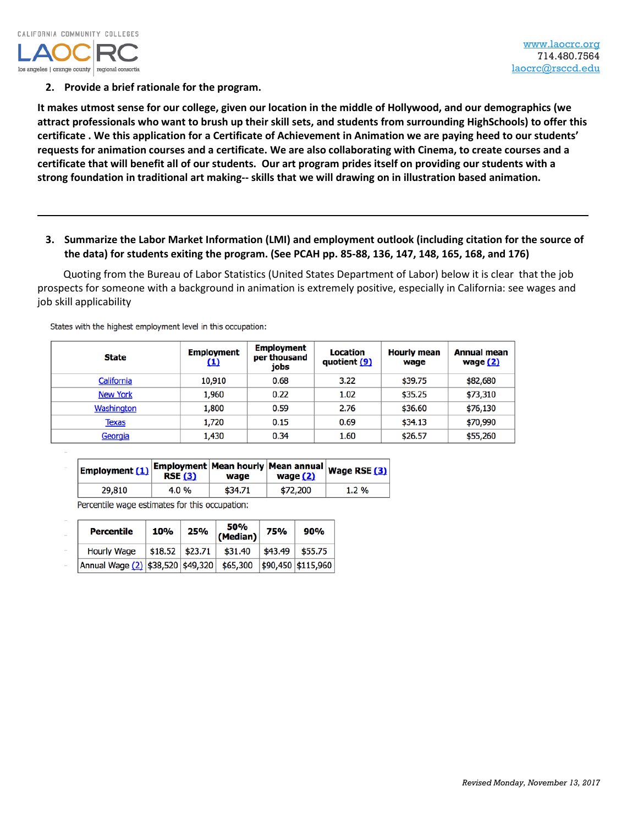

**2. Provide a brief rationale for the program.**

**It makes utmost sense for our college, given our location in the middle of Hollywood, and our demographics (we attract professionals who want to brush up their skill sets, and students from surrounding HighSchools) to offer this certificate . We this application for a Certificate of Achievement in Animation we are paying heed to our students' requests for animation courses and a certificate. We are also collaborating with Cinema, to create courses and a certificate that will benefit all of our students. Our art program prides itself on providing our students with a strong foundation in traditional art making-- skills that we will drawing on in illustration based animation.**

**3. Summarize the Labor Market Information (LMI) and employment outlook (including citation for the source of the data) for students exiting the program. (See PCAH pp. 85-88, 136, 147, 148, 165, 168, and 176)**

Quoting from the Bureau of Labor Statistics (United States Department of Labor) below it is clear that the job prospects for someone with a background in animation is extremely positive, especially in California: see wages and job skill applicability

| State           | <b>Employment</b><br>(1) | <b>Employment</b><br>per thousand<br>jobs | Location<br>quotient (9) | <b>Hourly mean</b><br>waqe | <b>Annual mean</b><br>wage (2) |
|-----------------|--------------------------|-------------------------------------------|--------------------------|----------------------------|--------------------------------|
| California      | 10,910                   | 0.68                                      | 3.22                     | \$39.75                    | \$82,680                       |
| <b>New York</b> | 1,960                    | 0.22                                      | 1.02                     | \$35.25                    | \$73,310                       |
| Washington      | 1,800                    | 0.59                                      | 2.76                     | \$36.60                    | \$76,130                       |
| <b>Texas</b>    | 1,720                    | 0.15                                      | 0.69                     | \$34.13                    | \$70,990                       |
| Georgia         | 1,430                    | 0.34                                      | 1.60                     | \$26.57                    | \$55,260                       |

States with the highest employment level in this occupation:

| Employment $(1)$ Employment Mean hourly Mean annual Wage RSE $(3)$ | <b>RSE (3)</b> | wage    | wage $(2)$ |          |
|--------------------------------------------------------------------|----------------|---------|------------|----------|
| 29,810                                                             | 4.0 %          | \$34.71 | \$72,200   | $1.2 \%$ |

Percentile wage estimates for this occupation:

| <b>Percentile</b>                                  | 10%                | 25% | 50%<br>(Median) | 75%     | 90%                  |
|----------------------------------------------------|--------------------|-----|-----------------|---------|----------------------|
| Hourly Wage                                        | $$18.52$   \$23.71 |     | \$31.40         | \$43.49 | \$55.75              |
| Annual Wage $(2)$   \$38,520   \$49,320   \$65,300 |                    |     |                 |         | $$90,450$ $$115,960$ |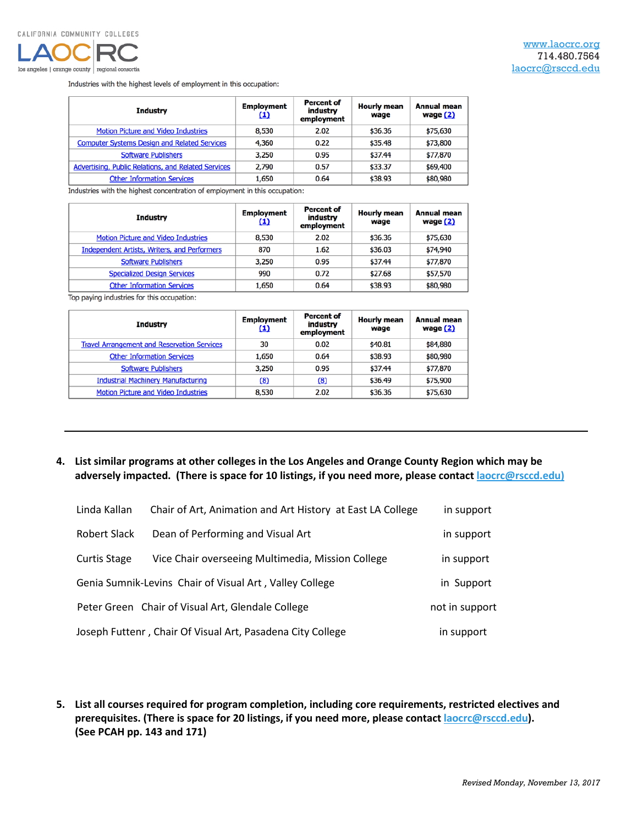

Industries with the highest levels of employment in this occupation:

| <b>Industry</b>                                     | <b>Employment</b><br>$\bf{1}$ | Percent of<br>industry<br>employment | <b>Hourly mean</b><br>wage | <b>Annual mean</b><br>wage (2) |
|-----------------------------------------------------|-------------------------------|--------------------------------------|----------------------------|--------------------------------|
| <b>Motion Picture and Video Industries</b>          | 8,530                         | 2.02                                 | \$36.36                    | \$75,630                       |
| <b>Computer Systems Design and Related Services</b> | 4,360                         | 0.22                                 | \$35.48                    | \$73,800                       |
| <b>Software Publishers</b>                          | 3,250                         | 0.95                                 | \$37.44                    | \$77,870                       |
| Advertising, Public Relations, and Related Services | 2,790                         | 0.57                                 | \$33.37                    | \$69,400                       |
| <b>Other Information Services</b>                   | 1,650                         | 0.64                                 | \$38.93                    | \$80,980                       |

Industries with the highest concentration of employment in this occupation:

| Industry                                            | <b>Employment</b><br>$\mathbf{I}$ | <b>Percent of</b><br>industry<br>employment | <b>Hourly mean</b><br>wage | <b>Annual mean</b><br>wage (2) |
|-----------------------------------------------------|-----------------------------------|---------------------------------------------|----------------------------|--------------------------------|
| <b>Motion Picture and Video Industries</b>          | 8,530                             | 2.02                                        | \$36.36                    | \$75,630                       |
| <b>Independent Artists, Writers, and Performers</b> | 870                               | 1.62                                        | \$36.03                    | \$74,940                       |
| <b>Software Publishers</b>                          | 3,250                             | 0.95                                        | \$37.44                    | \$77,870                       |
| <b>Specialized Design Services</b>                  | 990                               | 0.72                                        | \$27.68                    | \$57,570                       |
| <b>Other Information Services</b>                   | 1,650                             | 0.64                                        | \$38.93                    | \$80,980                       |

Top paying industries for this occupation:

| <b>Industry</b>                                    | <b>Employment</b><br>$\bf{1}$ | <b>Percent of</b><br>industry<br>employment | <b>Hourly mean</b><br>wage | <b>Annual mean</b><br>wage (2) |
|----------------------------------------------------|-------------------------------|---------------------------------------------|----------------------------|--------------------------------|
| <b>Travel Arrangement and Reservation Services</b> | 30                            | 0.02                                        | \$40.81                    | \$84,880                       |
| <b>Other Information Services</b>                  | 1,650                         | 0.64                                        | \$38.93                    | \$80,980                       |
| <b>Software Publishers</b>                         | 3,250                         | 0.95                                        | \$37.44                    | \$77,870                       |
| <b>Industrial Machinery Manufacturing</b>          | (8)                           | (8)                                         | \$36.49                    | \$75,900                       |
| <b>Motion Picture and Video Industries</b>         | 8,530                         | 2.02                                        | \$36.36                    | \$75,630                       |

## **4. List similar programs at other colleges in the Los Angeles and Orange County Region which may be adversely impacted. (There is space for 10 listings, if you need more, please contact [laocrc@rsccd.edu\)](mailto:laocrc@rsccd.edu))**

| Linda Kallan        | Chair of Art, Animation and Art History at East LA College | in support     |
|---------------------|------------------------------------------------------------|----------------|
| Robert Slack        | Dean of Performing and Visual Art                          | in support     |
| <b>Curtis Stage</b> | Vice Chair overseeing Multimedia, Mission College          | in support     |
|                     | Genia Sumnik-Levins Chair of Visual Art, Valley College    | in Support     |
|                     | Peter Green Chair of Visual Art, Glendale College          | not in support |
|                     | Joseph Futtenr, Chair Of Visual Art, Pasadena City College | in support     |

**5. List all courses required for program completion, including core requirements, restricted electives and prerequisites. (There is space for 20 listings, if you need more, please contact [laocrc@rsccd.edu\)](mailto:laocrc@rsccd.edu). (See PCAH pp. 143 and 171)**